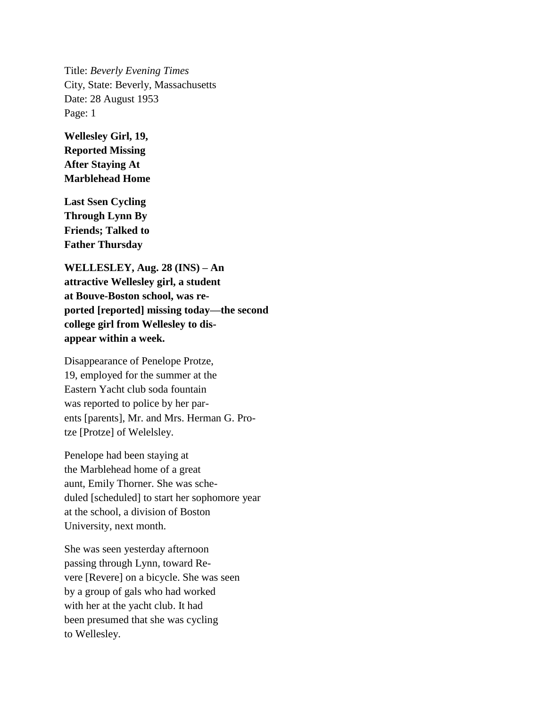Title: *Beverly Evening Times* City, State: Beverly, Massachusetts Date: 28 August 1953 Page: 1

**Wellesley Girl, 19, Reported Missing After Staying At Marblehead Home**

**Last Ssen Cycling Through Lynn By Friends; Talked to Father Thursday**

**WELLESLEY, Aug. 28 (INS) – An attractive Wellesley girl, a student at Bouve-Boston school, was reported [reported] missing today—the second college girl from Wellesley to disappear within a week.**

Disappearance of Penelope Protze, 19, employed for the summer at the Eastern Yacht club soda fountain was reported to police by her parents [parents], Mr. and Mrs. Herman G. Protze [Protze] of Welelsley.

Penelope had been staying at the Marblehead home of a great aunt, Emily Thorner. She was scheduled [scheduled] to start her sophomore year at the school, a division of Boston University, next month.

She was seen yesterday afternoon passing through Lynn, toward Revere [Revere] on a bicycle. She was seen by a group of gals who had worked with her at the yacht club. It had been presumed that she was cycling to Wellesley.